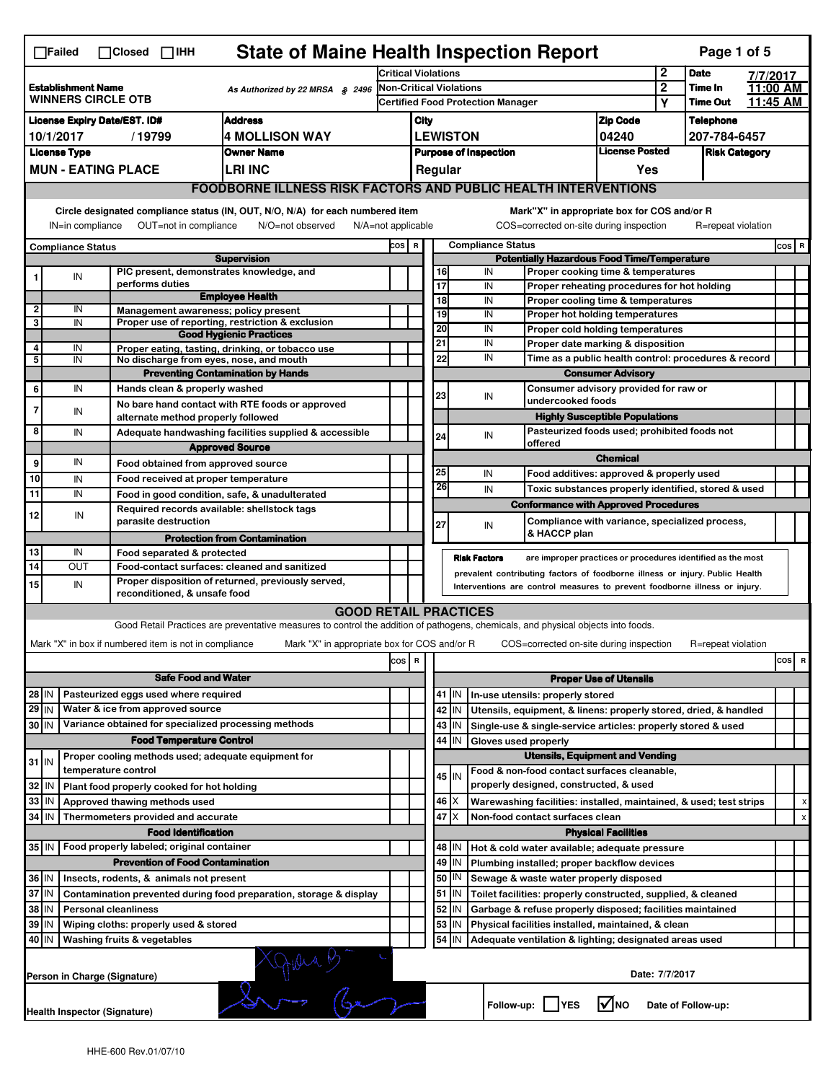|                                                                                                                                                                                                                                                                                           | <b>State of Maine Health Inspection Report</b><br>Page 1 of 5<br>$\Box$ Failed<br>$\Box$ Closed $\Box$ IHH |                                                                     |                                                                                                                                                                   |                                                       |                         |                 |                          |                                               |                                                                                          |                               |                                              |                    |                    |          |   |
|-------------------------------------------------------------------------------------------------------------------------------------------------------------------------------------------------------------------------------------------------------------------------------------------|------------------------------------------------------------------------------------------------------------|---------------------------------------------------------------------|-------------------------------------------------------------------------------------------------------------------------------------------------------------------|-------------------------------------------------------|-------------------------|-----------------|--------------------------|-----------------------------------------------|------------------------------------------------------------------------------------------|-------------------------------|----------------------------------------------|--------------------|--------------------|----------|---|
|                                                                                                                                                                                                                                                                                           |                                                                                                            |                                                                     |                                                                                                                                                                   | <b>Critical Violations</b>                            |                         |                 |                          |                                               |                                                                                          | $\mathbf{2}$                  | <b>Date</b>                                  |                    | 7/7/2017           |          |   |
| <b>Establishment Name</b><br>As Authorized by 22 MRSA § 2496<br><b>WINNERS CIRCLE OTB</b>                                                                                                                                                                                                 |                                                                                                            |                                                                     | <b>Non-Critical Violations</b><br><b>Certified Food Protection Manager</b>                                                                                        |                                                       |                         |                 |                          | $\boldsymbol{2}$                              | Time In                                                                                  |                               | 11:00 AM                                     |                    |                    |          |   |
|                                                                                                                                                                                                                                                                                           |                                                                                                            |                                                                     |                                                                                                                                                                   |                                                       |                         |                 |                          |                                               |                                                                                          |                               | Υ                                            | <b>Time Out</b>    |                    | 11:45 AM |   |
| <b>Address</b><br><b>License Expiry Date/EST. ID#</b>                                                                                                                                                                                                                                     |                                                                                                            |                                                                     |                                                                                                                                                                   | City                                                  |                         |                 |                          |                                               | <b>Zip Code</b>                                                                          |                               | <b>Telephone</b>                             |                    |                    |          |   |
| <b>4 MOLLISON WAY</b><br>10/1/2017<br>/19799                                                                                                                                                                                                                                              |                                                                                                            |                                                                     | <b>LEWISTON</b><br>04240                                                                                                                                          |                                                       |                         |                 |                          |                                               | 207-784-6457                                                                             |                               |                                              |                    |                    |          |   |
|                                                                                                                                                                                                                                                                                           | <b>License Type</b>                                                                                        |                                                                     | <b>Owner Name</b>                                                                                                                                                 | <b>License Posted</b><br><b>Purpose of Inspection</b> |                         |                 |                          |                                               |                                                                                          |                               | <b>Risk Category</b>                         |                    |                    |          |   |
|                                                                                                                                                                                                                                                                                           |                                                                                                            | <b>MUN - EATING PLACE</b>                                           | <b>LRI INC</b>                                                                                                                                                    |                                                       |                         |                 | Regular                  |                                               |                                                                                          |                               | Yes                                          |                    |                    |          |   |
|                                                                                                                                                                                                                                                                                           | <b>FOODBORNE ILLNESS RISK FACTORS AND PUBLIC HEALTH INTERVENTIONS</b>                                      |                                                                     |                                                                                                                                                                   |                                                       |                         |                 |                          |                                               |                                                                                          |                               |                                              |                    |                    |          |   |
| Circle designated compliance status (IN, OUT, N/O, N/A) for each numbered item<br>Mark"X" in appropriate box for COS and/or R<br>OUT=not in compliance<br>COS=corrected on-site during inspection<br>IN=in compliance<br>N/O=not observed<br>$N/A = not$ applicable<br>R=repeat violation |                                                                                                            |                                                                     |                                                                                                                                                                   |                                                       |                         |                 |                          |                                               |                                                                                          |                               |                                              |                    |                    |          |   |
| <b>Compliance Status</b>                                                                                                                                                                                                                                                                  |                                                                                                            |                                                                     |                                                                                                                                                                   | <b>Compliance Status</b><br>COS R                     |                         |                 |                          |                                               |                                                                                          | $cos$ R                       |                                              |                    |                    |          |   |
|                                                                                                                                                                                                                                                                                           |                                                                                                            | PIC present, demonstrates knowledge, and                            | <b>Supervision</b>                                                                                                                                                |                                                       |                         | 16              |                          | IN                                            | <b>Potentially Hazardous Food Time/Temperature</b><br>Proper cooking time & temperatures |                               |                                              |                    |                    |          |   |
| 1                                                                                                                                                                                                                                                                                         | ${\sf IN}$                                                                                                 | performs duties                                                     |                                                                                                                                                                   |                                                       |                         | 17              |                          | IN                                            | Proper reheating procedures for hot holding                                              |                               |                                              |                    |                    |          |   |
|                                                                                                                                                                                                                                                                                           |                                                                                                            |                                                                     | <b>Employee Health</b>                                                                                                                                            |                                                       |                         | $\overline{18}$ |                          | IN                                            | Proper cooling time & temperatures                                                       |                               |                                              |                    |                    |          |   |
| 2                                                                                                                                                                                                                                                                                         | IN                                                                                                         | Management awareness; policy present                                |                                                                                                                                                                   |                                                       |                         | 19              |                          | IN                                            | Proper hot holding temperatures                                                          |                               |                                              |                    |                    |          |   |
| 3                                                                                                                                                                                                                                                                                         | IN                                                                                                         |                                                                     | Proper use of reporting, restriction & exclusion<br><b>Good Hygienic Practices</b>                                                                                |                                                       |                         | 20              |                          | IN                                            | Proper cold holding temperatures                                                         |                               |                                              |                    |                    |          |   |
| 4                                                                                                                                                                                                                                                                                         | IN                                                                                                         |                                                                     | Proper eating, tasting, drinking, or tobacco use                                                                                                                  |                                                       |                         | 21              |                          | IN                                            | Proper date marking & disposition                                                        |                               |                                              |                    |                    |          |   |
| 5                                                                                                                                                                                                                                                                                         | IN                                                                                                         | No discharge from eyes, nose, and mouth                             |                                                                                                                                                                   |                                                       |                         | 22              |                          | IN                                            | Time as a public health control: procedures & record                                     |                               |                                              |                    |                    |          |   |
|                                                                                                                                                                                                                                                                                           |                                                                                                            |                                                                     | <b>Preventing Contamination by Hands</b>                                                                                                                          |                                                       |                         |                 | <b>Consumer Advisory</b> |                                               |                                                                                          |                               |                                              |                    |                    |          |   |
| 6                                                                                                                                                                                                                                                                                         | IN                                                                                                         | Hands clean & properly washed                                       |                                                                                                                                                                   |                                                       |                         | 23              |                          | Consumer advisory provided for raw or<br>IN   |                                                                                          |                               |                                              |                    |                    |          |   |
| $\overline{7}$                                                                                                                                                                                                                                                                            | IN                                                                                                         |                                                                     | No bare hand contact with RTE foods or approved                                                                                                                   |                                                       |                         |                 |                          |                                               | undercooked foods                                                                        |                               |                                              |                    |                    |          |   |
|                                                                                                                                                                                                                                                                                           |                                                                                                            | alternate method properly followed                                  |                                                                                                                                                                   |                                                       |                         |                 |                          |                                               | <b>Highly Susceptible Populations</b>                                                    |                               |                                              |                    |                    |          |   |
| 8                                                                                                                                                                                                                                                                                         | IN                                                                                                         |                                                                     | Adequate handwashing facilities supplied & accessible                                                                                                             |                                                       |                         | 24              |                          | IN                                            | offered                                                                                  |                               | Pasteurized foods used; prohibited foods not |                    |                    |          |   |
|                                                                                                                                                                                                                                                                                           |                                                                                                            |                                                                     | <b>Approved Source</b>                                                                                                                                            |                                                       |                         |                 |                          |                                               |                                                                                          | <b>Chemical</b>               |                                              |                    |                    |          |   |
| 9                                                                                                                                                                                                                                                                                         | IN                                                                                                         | Food obtained from approved source                                  |                                                                                                                                                                   |                                                       |                         | 25              |                          | IN                                            | Food additives: approved & properly used                                                 |                               |                                              |                    |                    |          |   |
| 10                                                                                                                                                                                                                                                                                        | IN                                                                                                         | Food received at proper temperature                                 |                                                                                                                                                                   |                                                       |                         | 26              |                          | IN                                            | Toxic substances properly identified, stored & used                                      |                               |                                              |                    |                    |          |   |
| 11                                                                                                                                                                                                                                                                                        | IN                                                                                                         |                                                                     | Food in good condition, safe, & unadulterated                                                                                                                     |                                                       |                         |                 |                          |                                               | <b>Conformance with Approved Procedures</b>                                              |                               |                                              |                    |                    |          |   |
| 12                                                                                                                                                                                                                                                                                        | IN                                                                                                         | Required records available: shellstock tags<br>parasite destruction |                                                                                                                                                                   |                                                       |                         | 27              |                          | IN                                            | Compliance with variance, specialized process,                                           |                               |                                              |                    |                    |          |   |
|                                                                                                                                                                                                                                                                                           |                                                                                                            |                                                                     | <b>Protection from Contamination</b>                                                                                                                              |                                                       |                         |                 |                          |                                               | & HACCP plan                                                                             |                               |                                              |                    |                    |          |   |
| 13                                                                                                                                                                                                                                                                                        | IN                                                                                                         | Food separated & protected                                          |                                                                                                                                                                   |                                                       |                         |                 |                          | <b>Risk Factors</b>                           | are improper practices or procedures identified as the most                              |                               |                                              |                    |                    |          |   |
| $\overline{14}$                                                                                                                                                                                                                                                                           | OUT                                                                                                        |                                                                     | Food-contact surfaces: cleaned and sanitized                                                                                                                      |                                                       |                         |                 |                          |                                               | prevalent contributing factors of foodborne illness or injury. Public Health             |                               |                                              |                    |                    |          |   |
| 15                                                                                                                                                                                                                                                                                        | IN                                                                                                         | reconditioned, & unsafe food                                        | Proper disposition of returned, previously served,                                                                                                                |                                                       |                         |                 |                          |                                               | Interventions are control measures to prevent foodborne illness or injury.               |                               |                                              |                    |                    |          |   |
|                                                                                                                                                                                                                                                                                           |                                                                                                            |                                                                     |                                                                                                                                                                   |                                                       |                         |                 |                          |                                               |                                                                                          |                               |                                              |                    |                    |          |   |
|                                                                                                                                                                                                                                                                                           |                                                                                                            |                                                                     | <b>GOOD RETAIL PRACTICES</b><br>Good Retail Practices are preventative measures to control the addition of pathogens, chemicals, and physical objects into foods. |                                                       |                         |                 |                          |                                               |                                                                                          |                               |                                              |                    |                    |          |   |
|                                                                                                                                                                                                                                                                                           |                                                                                                            |                                                                     |                                                                                                                                                                   |                                                       |                         |                 |                          |                                               |                                                                                          |                               |                                              |                    |                    |          |   |
|                                                                                                                                                                                                                                                                                           |                                                                                                            | Mark "X" in box if numbered item is not in compliance               | Mark "X" in appropriate box for COS and/or R                                                                                                                      |                                                       |                         |                 |                          |                                               | COS=corrected on-site during inspection                                                  |                               |                                              |                    | R=repeat violation |          |   |
|                                                                                                                                                                                                                                                                                           |                                                                                                            |                                                                     |                                                                                                                                                                   | cos                                                   | $\overline{\mathbf{R}}$ |                 |                          |                                               |                                                                                          |                               |                                              |                    |                    | cos      | R |
|                                                                                                                                                                                                                                                                                           |                                                                                                            | <b>Safe Food and Water</b>                                          |                                                                                                                                                                   |                                                       |                         |                 |                          |                                               |                                                                                          | <b>Proper Use of Utensils</b> |                                              |                    |                    |          |   |
| $28$ IN                                                                                                                                                                                                                                                                                   |                                                                                                            | Pasteurized eggs used where required                                |                                                                                                                                                                   |                                                       |                         |                 | 41   IN                  |                                               | In-use utensils: properly stored                                                         |                               |                                              |                    |                    |          |   |
| $29$ IN                                                                                                                                                                                                                                                                                   |                                                                                                            | Water & ice from approved source                                    |                                                                                                                                                                   |                                                       |                         |                 | 42<br>IN                 |                                               | Utensils, equipment, & linens: properly stored, dried, & handled                         |                               |                                              |                    |                    |          |   |
| 30 IN                                                                                                                                                                                                                                                                                     |                                                                                                            | Variance obtained for specialized processing methods                |                                                                                                                                                                   |                                                       |                         |                 | 43   IN                  |                                               | Single-use & single-service articles: properly stored & used                             |                               |                                              |                    |                    |          |   |
|                                                                                                                                                                                                                                                                                           |                                                                                                            | <b>Food Temperature Control</b>                                     |                                                                                                                                                                   |                                                       |                         | 44              | IN                       | Gloves used properly                          |                                                                                          |                               |                                              |                    |                    |          |   |
| $31$ IN                                                                                                                                                                                                                                                                                   |                                                                                                            | Proper cooling methods used; adequate equipment for                 |                                                                                                                                                                   |                                                       |                         |                 |                          |                                               | <b>Utensils, Equipment and Vending</b>                                                   |                               |                                              |                    |                    |          |   |
|                                                                                                                                                                                                                                                                                           |                                                                                                            | temperature control                                                 |                                                                                                                                                                   |                                                       |                         |                 | $45$ IN                  |                                               | Food & non-food contact surfaces cleanable,                                              |                               |                                              |                    |                    |          |   |
| 32                                                                                                                                                                                                                                                                                        | IN                                                                                                         | Plant food properly cooked for hot holding                          |                                                                                                                                                                   |                                                       |                         |                 |                          |                                               | properly designed, constructed, & used                                                   |                               |                                              |                    |                    |          |   |
| 33                                                                                                                                                                                                                                                                                        | IN                                                                                                         | Approved thawing methods used                                       |                                                                                                                                                                   |                                                       |                         |                 | $46 \times$              |                                               | Warewashing facilities: installed, maintained, & used; test strips                       |                               |                                              |                    |                    |          |   |
| 34                                                                                                                                                                                                                                                                                        | <b>IN</b>                                                                                                  | Thermometers provided and accurate                                  |                                                                                                                                                                   |                                                       |                         |                 | $47$ $\times$            |                                               | Non-food contact surfaces clean                                                          |                               |                                              |                    |                    |          |   |
|                                                                                                                                                                                                                                                                                           |                                                                                                            | <b>Food Identification</b>                                          |                                                                                                                                                                   |                                                       |                         |                 |                          |                                               |                                                                                          | <b>Physical Facilities</b>    |                                              |                    |                    |          |   |
|                                                                                                                                                                                                                                                                                           |                                                                                                            | 35 IN   Food properly labeled; original container                   |                                                                                                                                                                   |                                                       |                         |                 | 48<br>I IN.              | Hot & cold water available; adequate pressure |                                                                                          |                               |                                              |                    |                    |          |   |
|                                                                                                                                                                                                                                                                                           |                                                                                                            | <b>Prevention of Food Contamination</b>                             |                                                                                                                                                                   |                                                       |                         | 49              | IN                       |                                               | Plumbing installed; proper backflow devices                                              |                               |                                              |                    |                    |          |   |
| 36 IN                                                                                                                                                                                                                                                                                     |                                                                                                            | Insects, rodents, & animals not present                             |                                                                                                                                                                   |                                                       |                         | 50              | IN                       | Sewage & waste water properly disposed        |                                                                                          |                               |                                              |                    |                    |          |   |
| 37 IN                                                                                                                                                                                                                                                                                     |                                                                                                            |                                                                     | Contamination prevented during food preparation, storage & display                                                                                                |                                                       |                         |                 | 51<br>IN.                |                                               | Toilet facilities: properly constructed, supplied, & cleaned                             |                               |                                              |                    |                    |          |   |
| 38                                                                                                                                                                                                                                                                                        | IN                                                                                                         | <b>Personal cleanliness</b>                                         |                                                                                                                                                                   |                                                       |                         | 52              | IN                       |                                               | Garbage & refuse properly disposed; facilities maintained                                |                               |                                              |                    |                    |          |   |
| 39                                                                                                                                                                                                                                                                                        | IN                                                                                                         | Wiping cloths: properly used & stored                               |                                                                                                                                                                   |                                                       |                         | 53              | IN                       |                                               | Physical facilities installed, maintained, & clean                                       |                               |                                              |                    |                    |          |   |
| 40 IN                                                                                                                                                                                                                                                                                     |                                                                                                            | Washing fruits & vegetables                                         |                                                                                                                                                                   |                                                       |                         | 54              | IN                       |                                               | Adequate ventilation & lighting; designated areas used                                   |                               |                                              |                    |                    |          |   |
|                                                                                                                                                                                                                                                                                           |                                                                                                            | Person in Charge (Signature)                                        | $\sqrt{402}$                                                                                                                                                      |                                                       |                         |                 |                          |                                               |                                                                                          |                               | Date: 7/7/2017                               |                    |                    |          |   |
|                                                                                                                                                                                                                                                                                           |                                                                                                            | Health Inspector (Signature)                                        |                                                                                                                                                                   |                                                       |                         |                 |                          | Follow-up:                                    | <b>IYES</b>                                                                              | l√lno                         |                                              | Date of Follow-up: |                    |          |   |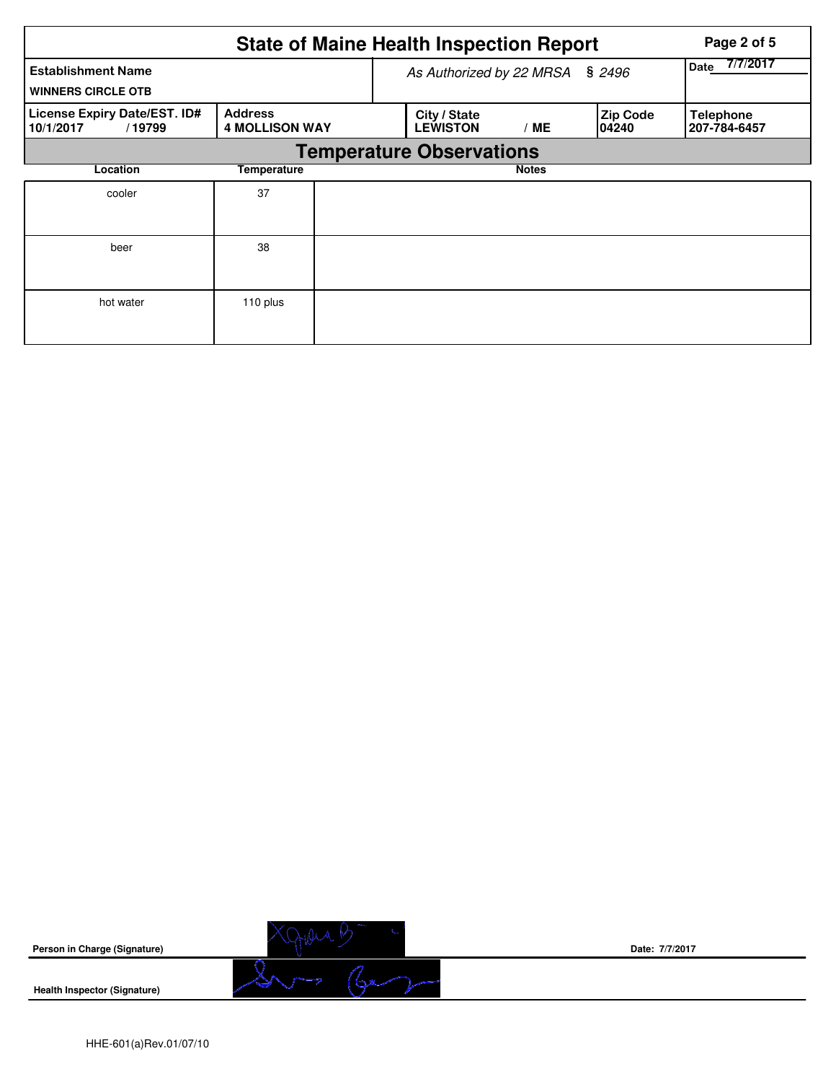|                                                        |                                         |                                 | <b>State of Maine Health Inspection Report</b> | Page 2 of 5      |                           |                                  |
|--------------------------------------------------------|-----------------------------------------|---------------------------------|------------------------------------------------|------------------|---------------------------|----------------------------------|
| <b>Establishment Name</b><br><b>WINNERS CIRCLE OTB</b> |                                         |                                 | As Authorized by 22 MRSA                       | 7/7/2017<br>Date |                           |                                  |
| License Expiry Date/EST. ID#<br>10/1/2017<br>/19799    | <b>Address</b><br><b>4 MOLLISON WAY</b> |                                 | City / State<br><b>LEWISTON</b>                | ' ME             | <b>Zip Code</b><br>104240 | <b>Telephone</b><br>207-784-6457 |
|                                                        |                                         | <b>Temperature Observations</b> |                                                |                  |                           |                                  |
| Location                                               | Temperature                             |                                 |                                                | <b>Notes</b>     |                           |                                  |
| cooler                                                 | 37                                      |                                 |                                                |                  |                           |                                  |
| beer                                                   | 38                                      |                                 |                                                |                  |                           |                                  |
| hot water                                              | 110 plus                                |                                 |                                                |                  |                           |                                  |

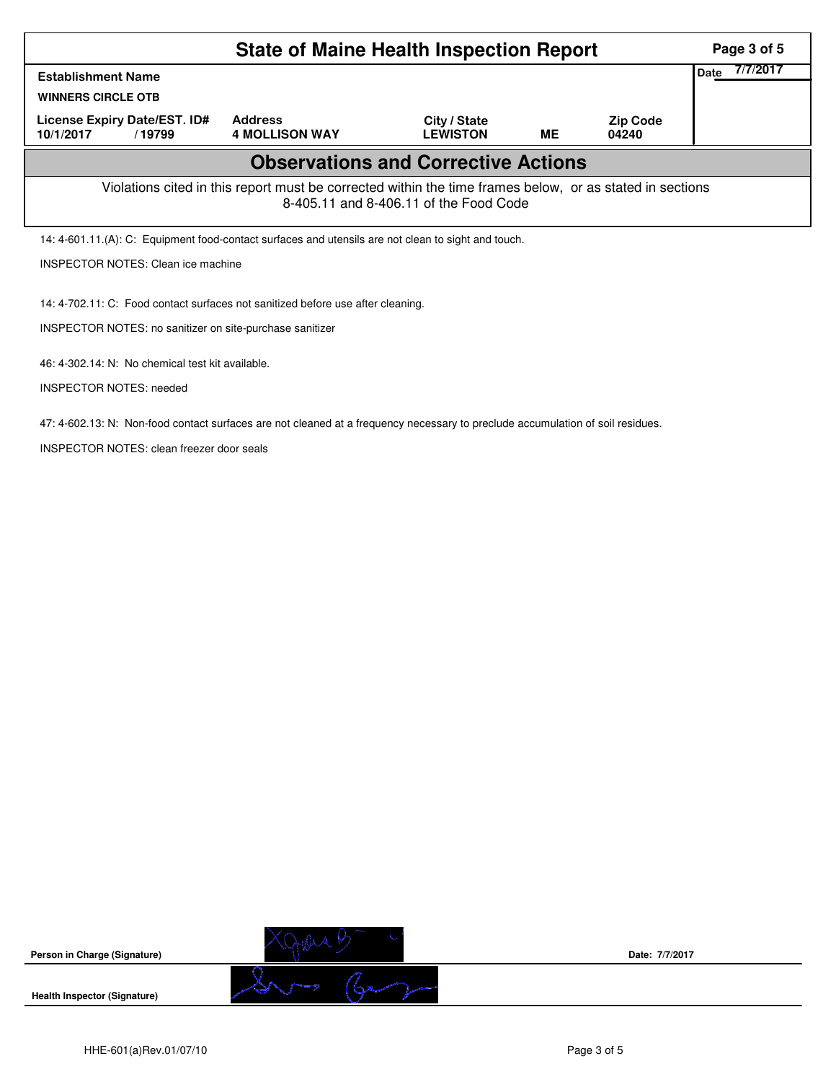|                                                                                                                                                    | Page 3 of 5                                                                                         |                                 |           |                          |  |  |  |  |  |  |
|----------------------------------------------------------------------------------------------------------------------------------------------------|-----------------------------------------------------------------------------------------------------|---------------------------------|-----------|--------------------------|--|--|--|--|--|--|
| <b>Establishment Name</b><br><b>WINNERS CIRCLE OTB</b>                                                                                             | 7/7/2017<br><b>Date</b>                                                                             |                                 |           |                          |  |  |  |  |  |  |
| License Expiry Date/EST. ID#<br>10/1/2017<br>/19799                                                                                                | <b>Address</b><br><b>4 MOLLISON WAY</b>                                                             | City / State<br><b>LEWISTON</b> | <b>ME</b> | <b>Zip Code</b><br>04240 |  |  |  |  |  |  |
| <b>Observations and Corrective Actions</b>                                                                                                         |                                                                                                     |                                 |           |                          |  |  |  |  |  |  |
| Violations cited in this report must be corrected within the time frames below, or as stated in sections<br>8-405.11 and 8-406.11 of the Food Code |                                                                                                     |                                 |           |                          |  |  |  |  |  |  |
|                                                                                                                                                    | 14: 4-601.11.(A): C: Equipment food-contact surfaces and utensils are not clean to sight and touch. |                                 |           |                          |  |  |  |  |  |  |
|                                                                                                                                                    | <b>INSPECTOR NOTES: Clean ice machine</b>                                                           |                                 |           |                          |  |  |  |  |  |  |
| 14: 4-702.11: C: Food contact surfaces not sanitized before use after cleaning.                                                                    |                                                                                                     |                                 |           |                          |  |  |  |  |  |  |
| INSPECTOR NOTES: no sanitizer on site-purchase sanitizer                                                                                           |                                                                                                     |                                 |           |                          |  |  |  |  |  |  |
| 46: 4-302.14: N: No chemical test kit available.                                                                                                   |                                                                                                     |                                 |           |                          |  |  |  |  |  |  |

INSPECTOR NOTES: needed

47: 4-602.13: N: Non-food contact surfaces are not cleaned at a frequency necessary to preclude accumulation of soil residues.

INSPECTOR NOTES: clean freezer door seals

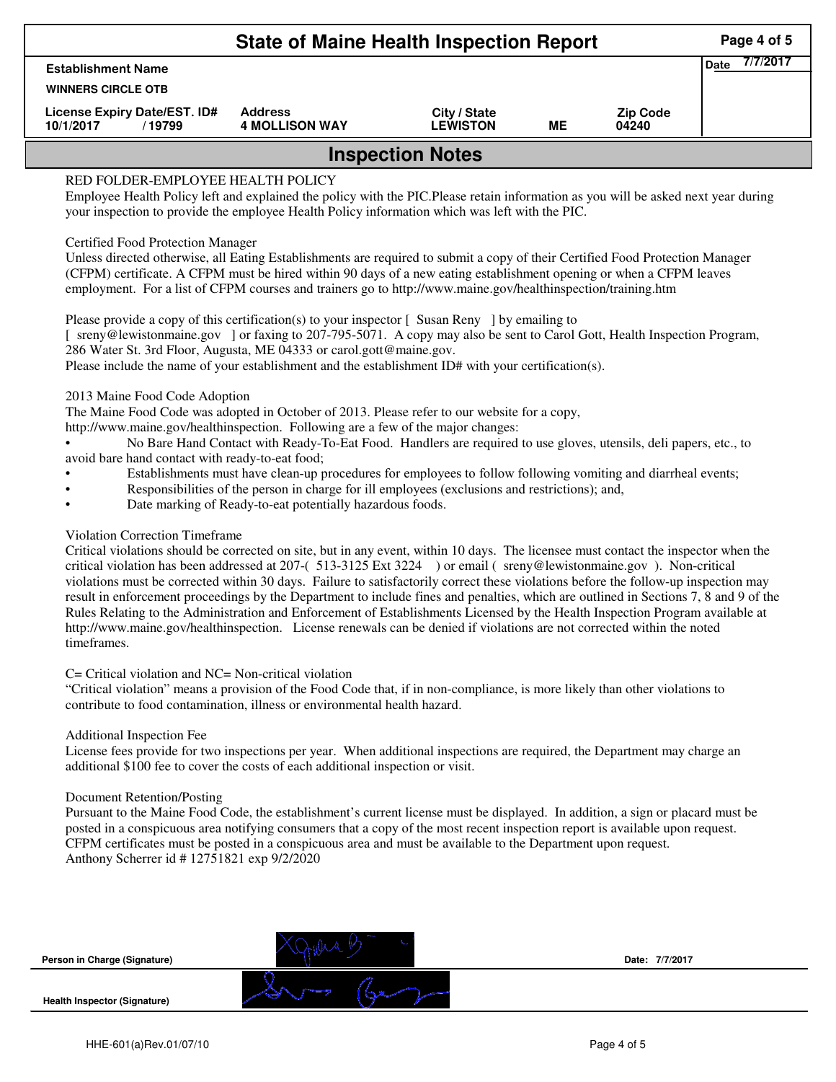|                                                     | Page 4 of 5                             |                                 |    |                          |                         |  |  |  |
|-----------------------------------------------------|-----------------------------------------|---------------------------------|----|--------------------------|-------------------------|--|--|--|
| <b>Establishment Name</b>                           |                                         |                                 |    |                          | 7/7/2017<br><b>Date</b> |  |  |  |
| <b>WINNERS CIRCLE OTB</b>                           |                                         |                                 |    |                          |                         |  |  |  |
| License Expiry Date/EST. ID#<br>10/1/2017<br>/19799 | <b>Address</b><br><b>4 MOLLISON WAY</b> | City / State<br><b>LEWISTON</b> | ME | <b>Zip Code</b><br>04240 |                         |  |  |  |
| <b>Inspection Notes</b>                             |                                         |                                 |    |                          |                         |  |  |  |

# RED FOLDER-EMPLOYEE HEALTH POLICY

Employee Health Policy left and explained the policy with the PIC.Please retain information as you will be asked next year during your inspection to provide the employee Health Policy information which was left with the PIC.

### Certified Food Protection Manager

Unless directed otherwise, all Eating Establishments are required to submit a copy of their Certified Food Protection Manager (CFPM) certificate. A CFPM must be hired within 90 days of a new eating establishment opening or when a CFPM leaves employment. For a list of CFPM courses and trainers go to http://www.maine.gov/healthinspection/training.htm

Please provide a copy of this certification(s) to your inspector [Susan Reny ] by emailing to [ sreny@lewistonmaine.gov ] or faxing to 207-795-5071. A copy may also be sent to Carol Gott, Health Inspection Program, 286 Water St. 3rd Floor, Augusta, ME 04333 or carol.gott@maine.gov.

Please include the name of your establishment and the establishment ID# with your certification(s).

2013 Maine Food Code Adoption

The Maine Food Code was adopted in October of 2013. Please refer to our website for a copy,

http://www.maine.gov/healthinspection. Following are a few of the major changes:

• No Bare Hand Contact with Ready-To-Eat Food. Handlers are required to use gloves, utensils, deli papers, etc., to avoid bare hand contact with ready-to-eat food;

- Establishments must have clean-up procedures for employees to follow following vomiting and diarrheal events;
- Responsibilities of the person in charge for ill employees (exclusions and restrictions); and,
- Date marking of Ready-to-eat potentially hazardous foods.

## Violation Correction Timeframe

Critical violations should be corrected on site, but in any event, within 10 days. The licensee must contact the inspector when the critical violation has been addressed at 207-( 513-3125 Ext 3224 ) or email ( sreny@lewistonmaine.gov ). Non-critical violations must be corrected within 30 days. Failure to satisfactorily correct these violations before the follow-up inspection may result in enforcement proceedings by the Department to include fines and penalties, which are outlined in Sections 7, 8 and 9 of the Rules Relating to the Administration and Enforcement of Establishments Licensed by the Health Inspection Program available at http://www.maine.gov/healthinspection. License renewals can be denied if violations are not corrected within the noted timeframes.

## C= Critical violation and NC= Non-critical violation

"Critical violation" means a provision of the Food Code that, if in non-compliance, is more likely than other violations to contribute to food contamination, illness or environmental health hazard.

#### Additional Inspection Fee

License fees provide for two inspections per year. When additional inspections are required, the Department may charge an additional \$100 fee to cover the costs of each additional inspection or visit.

#### Document Retention/Posting

Pursuant to the Maine Food Code, the establishment's current license must be displayed. In addition, a sign or placard must be posted in a conspicuous area notifying consumers that a copy of the most recent inspection report is available upon request. CFPM certificates must be posted in a conspicuous area and must be available to the Department upon request. Anthony Scherrer id # 12751821 exp 9/2/2020